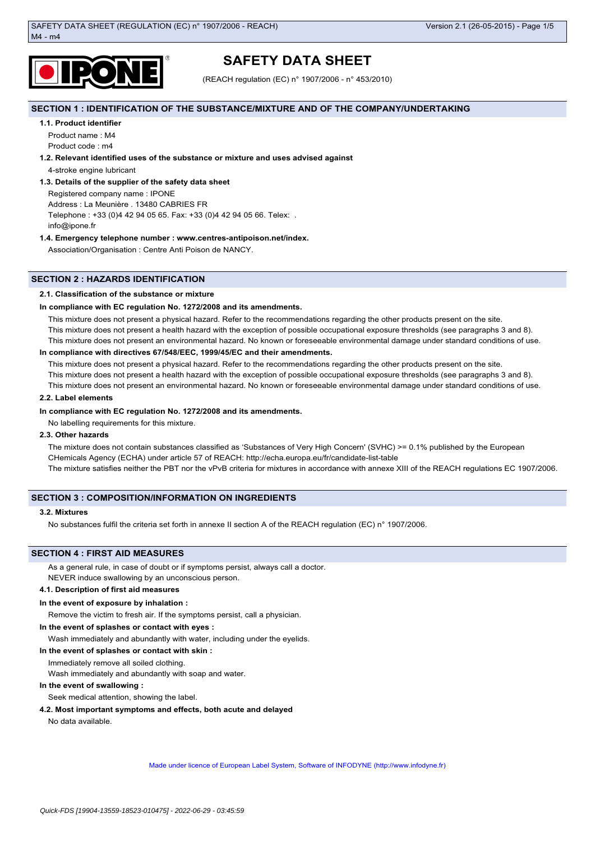

# **SAFETY DATA SHEET**

(REACH regulation (EC) n° 1907/2006 - n° 453/2010)

# **SECTION 1 : IDENTIFICATION OF THE SUBSTANCE/MIXTURE AND OF THE COMPANY/UNDERTAKING**

# **1.1. Product identifier**

Product name : M4 Product code : m4

# **1.2. Relevant identified uses of the substance or mixture and uses advised against**

4-stroke engine lubricant

# **1.3. Details of the supplier of the safety data sheet**

Registered company name : IPONE

Address : La Meunière . 13480 CABRIES FR

Telephone : +33 (0)4 42 94 05 65. Fax: +33 (0)4 42 94 05 66. Telex: . info@ipone.fr

# **1.4. Emergency telephone number : www.centres-antipoison.net/index.**

Association/Organisation : Centre Anti Poison de NANCY.

# **SECTION 2 : HAZARDS IDENTIFICATION**

# **2.1. Classification of the substance or mixture**

# **In compliance with EC regulation No. 1272/2008 and its amendments.**

This mixture does not present a physical hazard. Refer to the recommendations regarding the other products present on the site. This mixture does not present a health hazard with the exception of possible occupational exposure thresholds (see paragraphs 3 and 8). This mixture does not present an environmental hazard. No known or foreseeable environmental damage under standard conditions of use.

# **In compliance with directives 67/548/EEC, 1999/45/EC and their amendments.**

This mixture does not present a physical hazard. Refer to the recommendations regarding the other products present on the site. This mixture does not present a health hazard with the exception of possible occupational exposure thresholds (see paragraphs 3 and 8). This mixture does not present an environmental hazard. No known or foreseeable environmental damage under standard conditions of use.

### **2.2. Label elements**

# **In compliance with EC regulation No. 1272/2008 and its amendments.**

No labelling requirements for this mixture.

# **2.3. Other hazards**

The mixture does not contain substances classified as 'Substances of Very High Concern' (SVHC) >= 0.1% published by the European CHemicals Agency (ECHA) under article 57 of REACH: http://echa.europa.eu/fr/candidate-list-table The mixture satisfies neither the PBT nor the vPvB criteria for mixtures in accordance with annexe XIII of the REACH regulations EC 1907/2006.

# **SECTION 3 : COMPOSITION/INFORMATION ON INGREDIENTS**

# **3.2. Mixtures**

No substances fulfil the criteria set forth in annexe II section A of the REACH regulation (EC) n° 1907/2006.

# **SECTION 4 : FIRST AID MEASURES**

As a general rule, in case of doubt or if symptoms persist, always call a doctor.

NEVER induce swallowing by an unconscious person.

# **4.1. Description of first aid measures**

# **In the event of exposure by inhalation :**

Remove the victim to fresh air. If the symptoms persist, call a physician.

# **In the event of splashes or contact with eyes :**

Wash immediately and abundantly with water, including under the eyelids.

### **In the event of splashes or contact with skin :**

Immediately remove all soiled clothing.

Wash immediately and abundantly with soap and water.

# **In the event of swallowing :**

Seek medical attention, showing the label.

# **4.2. Most important symptoms and effects, both acute and delayed**

No data available.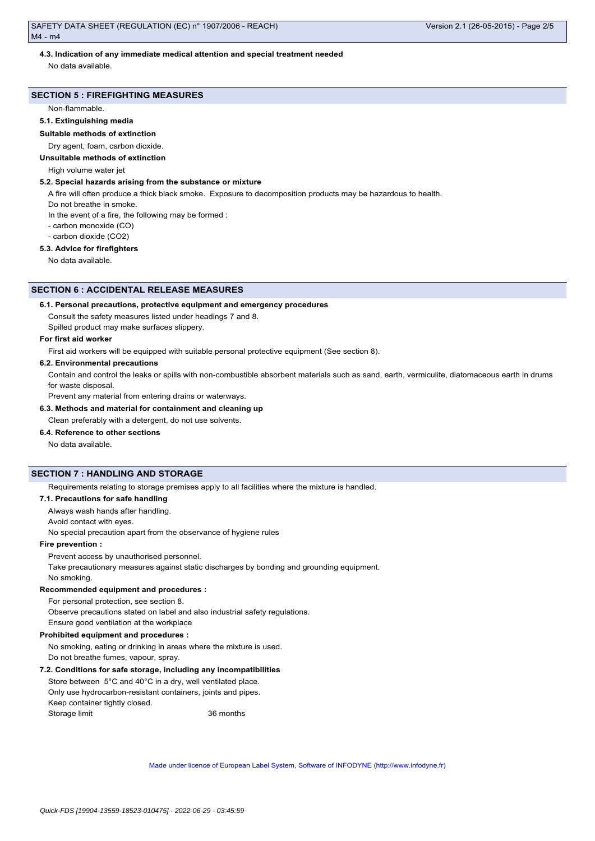# **4.3. Indication of any immediate medical attention and special treatment needed**

No data available.

# **SECTION 5 : FIREFIGHTING MEASURES**

Non-flammable.

### **5.1. Extinguishing media**

**Suitable methods of extinction**

# Dry agent, foam, carbon dioxide.

# **Unsuitable methods of extinction**

High volume water jet

# **5.2. Special hazards arising from the substance or mixture**

A fire will often produce a thick black smoke. Exposure to decomposition products may be hazardous to health.

Do not breathe in smoke.

In the event of a fire, the following may be formed :

- carbon monoxide (CO)

- carbon dioxide (CO2)

# **5.3. Advice for firefighters**

No data available.

### **SECTION 6 : ACCIDENTAL RELEASE MEASURES**

#### **6.1. Personal precautions, protective equipment and emergency procedures**

Consult the safety measures listed under headings 7 and 8.

Spilled product may make surfaces slippery.

# **For first aid worker**

First aid workers will be equipped with suitable personal protective equipment (See section 8).

### **6.2. Environmental precautions**

Contain and control the leaks or spills with non-combustible absorbent materials such as sand, earth, vermiculite, diatomaceous earth in drums for waste disposal.

Prevent any material from entering drains or waterways.

**6.3. Methods and material for containment and cleaning up**

Clean preferably with a detergent, do not use solvents.

# **6.4. Reference to other sections**

No data available.

# **SECTION 7 : HANDLING AND STORAGE**

Requirements relating to storage premises apply to all facilities where the mixture is handled.

# **7.1. Precautions for safe handling**

Always wash hands after handling.

Avoid contact with eyes.

No special precaution apart from the observance of hygiene rules

# **Fire prevention :**

Prevent access by unauthorised personnel.

Take precautionary measures against static discharges by bonding and grounding equipment. No smoking.

# **Recommended equipment and procedures :**

For personal protection, see section 8.

Observe precautions stated on label and also industrial safety regulations.

Ensure good ventilation at the workplace

# **Prohibited equipment and procedures :**

No smoking, eating or drinking in areas where the mixture is used. Do not breathe fumes, vapour, spray.

#### **7.2. Conditions for safe storage, including any incompatibilities**

Store between 5°C and 40°C in a dry, well ventilated place. Only use hydrocarbon-resistant containers, joints and pipes. Keep container tightly closed. Storage limit 36 months

Made under licence of European Label System, Software of INFODYNE (http://www.infodyne.fr)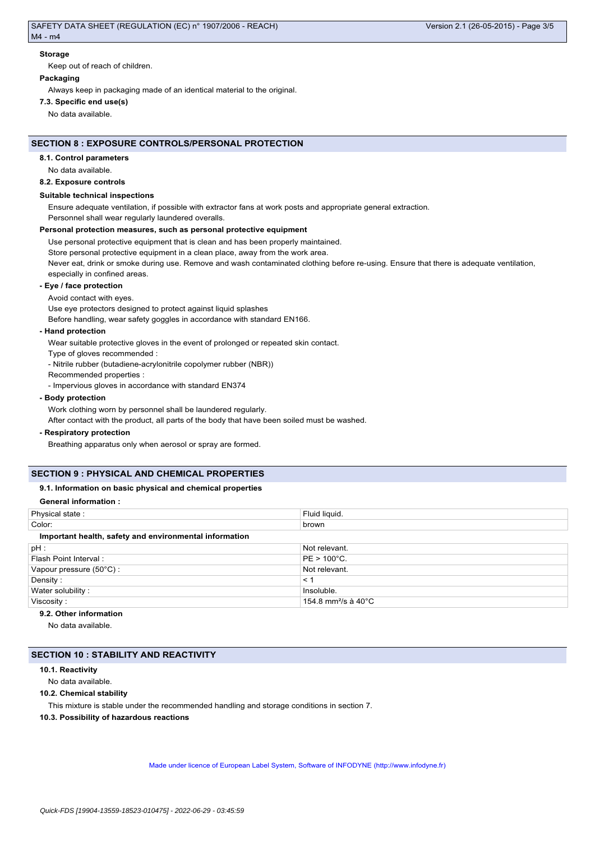#### **Storage**

Keep out of reach of children.

# **Packaging**

Always keep in packaging made of an identical material to the original.

### **7.3. Specific end use(s)**

No data available.

# **SECTION 8 : EXPOSURE CONTROLS/PERSONAL PROTECTION**

### **8.1. Control parameters**

No data available.

### **8.2. Exposure controls**

### **Suitable technical inspections**

Ensure adequate ventilation, if possible with extractor fans at work posts and appropriate general extraction. Personnel shall wear regularly laundered overalls.

### **Personal protection measures, such as personal protective equipment**

Use personal protective equipment that is clean and has been properly maintained. Store personal protective equipment in a clean place, away from the work area. Never eat, drink or smoke during use. Remove and wash contaminated clothing before re-using. Ensure that there is adequate ventilation, especially in confined areas.

#### **- Eye / face protection**

Avoid contact with eyes.

Use eye protectors designed to protect against liquid splashes

Before handling, wear safety goggles in accordance with standard EN166.

#### **- Hand protection**

Wear suitable protective gloves in the event of prolonged or repeated skin contact.

Type of gloves recommended :

- Nitrile rubber (butadiene-acrylonitrile copolymer rubber (NBR))

Recommended properties :

- Impervious gloves in accordance with standard EN374

### **- Body protection**

Work clothing worn by personnel shall be laundered regularly.

After contact with the product, all parts of the body that have been soiled must be washed.

#### **- Respiratory protection**

Breathing apparatus only when aerosol or spray are formed.

# **SECTION 9 : PHYSICAL AND CHEMICAL PROPERTIES**

### **9.1. Information on basic physical and chemical properties**

# **General information :**

| Physical state:                                        | Fluid liquid.                              |
|--------------------------------------------------------|--------------------------------------------|
| Color:                                                 | brown                                      |
| Important health, safety and environmental information |                                            |
| $pH$ :                                                 | Not relevant.                              |
| Flash Point Interval:                                  | $PE > 100^{\circ}C$ .                      |
| Vapour pressure (50°C) :                               | Not relevant.                              |
| Density:                                               | < 1                                        |
| Water solubility:                                      | Insoluble.                                 |
| Viscosity:                                             | 154.8 mm <sup>2</sup> /s à 40 $^{\circ}$ C |
|                                                        |                                            |

### **9.2. Other information**

No data available.

# **SECTION 10 : STABILITY AND REACTIVITY**

# **10.1. Reactivity**

No data available.

### **10.2. Chemical stability**

This mixture is stable under the recommended handling and storage conditions in section 7.

**10.3. Possibility of hazardous reactions**

Made under licence of European Label System, Software of INFODYNE (http://www.infodyne.fr)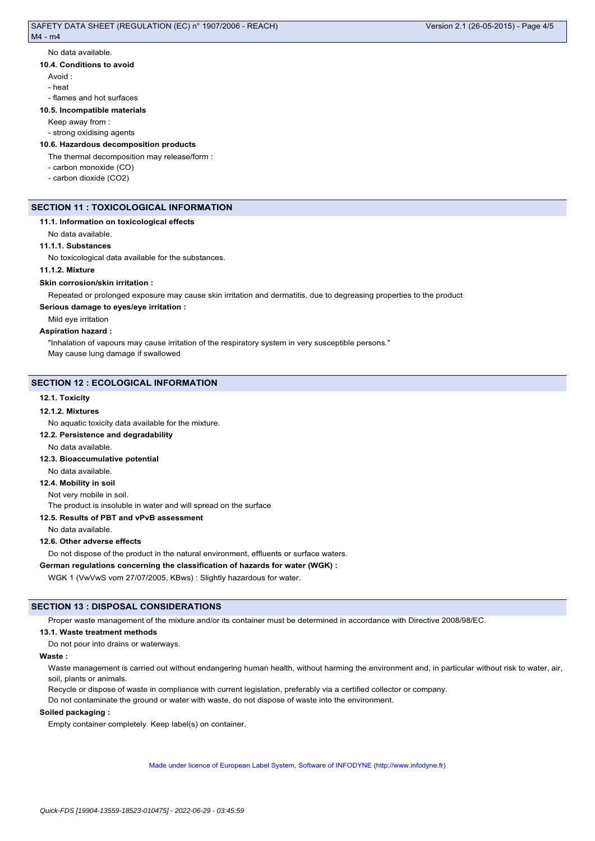#### No data available.

#### **10.4. Conditions to avoid**

Avoid :

- heat
- flames and hot surfaces

# **10.5. Incompatible materials**

Keep away from :

# - strong oxidising agents

# **10.6. Hazardous decomposition products**

The thermal decomposition may release/form :

- carbon monoxide (CO)
- carbon dioxide (CO2)

# **SECTION 11 : TOXICOLOGICAL INFORMATION**

# **11.1. Information on toxicological effects**

No data available.

### **11.1.1. Substances**

No toxicological data available for the substances.

# **11.1.2. Mixture**

#### **Skin corrosion/skin irritation :**

Repeated or prolonged exposure may cause skin irritation and dermatitis, due to degreasing properties to the product

### **Serious damage to eyes/eye irritation :**

Mild eye irritation

#### **Aspiration hazard :**

"Inhalation of vapours may cause irritation of the respiratory system in very susceptible persons." May cause lung damage if swallowed

### **SECTION 12 : ECOLOGICAL INFORMATION**

#### **12.1. Toxicity**

#### **12.1.2. Mixtures**

No aquatic toxicity data available for the mixture.

### **12.2. Persistence and degradability**

No data available.

### **12.3. Bioaccumulative potential**

No data available.

# **12.4. Mobility in soil**

Not very mobile in soil.

The product is insoluble in water and will spread on the surface

# **12.5. Results of PBT and vPvB assessment**

No data available.

### **12.6. Other adverse effects**

Do not dispose of the product in the natural environment, effluents or surface waters.

# **German regulations concerning the classification of hazards for water (WGK) :**

WGK 1 (VwVwS vom 27/07/2005, KBws) : Slightly hazardous for water.

# **SECTION 13 : DISPOSAL CONSIDERATIONS**

Proper waste management of the mixture and/or its container must be determined in accordance with Directive 2008/98/EC.

### **13.1. Waste treatment methods**

Do not pour into drains or waterways.

#### **Waste :**

Waste management is carried out without endangering human health, without harming the environment and, in particular without risk to water, air, soil, plants or animals.

Recycle or dispose of waste in compliance with current legislation, preferably via a certified collector or company.

Do not contaminate the ground or water with waste, do not dispose of waste into the environment.

### **Soiled packaging :**

Empty container completely. Keep label(s) on container.

Made under licence of European Label System, Software of INFODYNE (http://www.infodyne.fr)